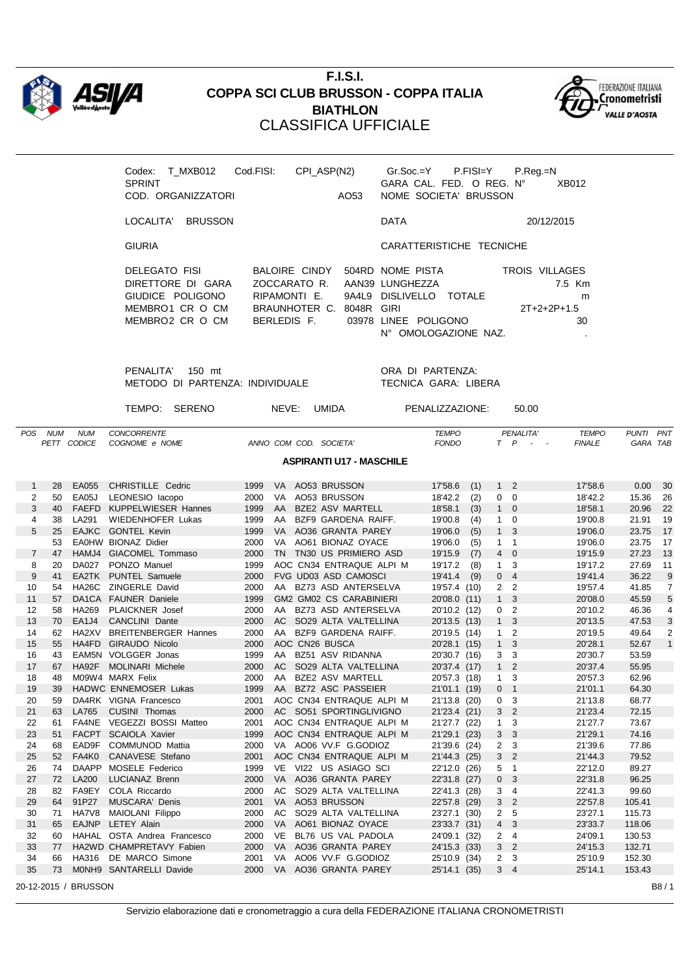

## **F.I.S.I. COPPA SCI CLUB BRUSSON - COPPA ITALIA BIATHLON** CLASSIFICA UFFICIALE



| T MXB012<br>Codex:<br><b>SPRINT</b><br>COD. ORGANIZZATORI                                    | Cod.FISI:    | CPI ASP(N2)                                                  | AO53       | GARA CAL. FED. O REG. N°<br>NOME SOCIETA' BRUSSON                                              | $Gr.Soc = Y$ P.FISI $=Y$ | P.Reg.=N                        | XB012             |
|----------------------------------------------------------------------------------------------|--------------|--------------------------------------------------------------|------------|------------------------------------------------------------------------------------------------|--------------------------|---------------------------------|-------------------|
| <b>BRUSSON</b><br>LOCALITA'                                                                  |              |                                                              |            | <b>DATA</b>                                                                                    |                          |                                 | 20/12/2015        |
| <b>GIURIA</b>                                                                                |              |                                                              |            | CARATTERISTICHE TECNICHE                                                                       |                          |                                 |                   |
| DELEGATO FISI<br>DIRETTORE DI GARA<br>GIUDICE POLIGONO<br>MEMBRO1 CR O CM<br>MEMBRO2 CR O CM | ZOCCARATO R. | BALOIRE CINDY<br>RIPAMONTI F<br>BRAUNHOTER C.<br>BERLEDIS F. | 8048R GIRI | 504RD NOME PISTA<br>AAN39 LUNGHEZZA<br>9A41.9 DISLIVELLO TOTALE<br>03978 LINEE POLIGONO<br>N°. | OMOLOGAZIONE NAZ.        | TROIS VILLAGES<br>$2T+2+2P+1.5$ | 7.5 Km<br>m<br>30 |

PENALITA' 150 mt ORA DI PARTENZA: METODO DI PARTENZA: INDIVIDUALE TECNICA GARA: LIBERA

TEMPO: SERENO NEVE: UMIDA PENALIZZAZIONE: 50.00

| <b>POS</b>     | <b>NUM</b> | <b>NUM</b>           | <b>CONCORRENTE</b>          |      |           |                                 | <b>TEMPO</b> |      |                | PENALITA'                       | <b>TEMPO</b>  | PUNTI PNT |                |
|----------------|------------|----------------------|-----------------------------|------|-----------|---------------------------------|--------------|------|----------------|---------------------------------|---------------|-----------|----------------|
|                |            | PETT CODICE          | COGNOME e NOME              |      |           | ANNO COM COD. SOCIETA           | <b>FONDO</b> |      |                | $T$ $P$<br>$\sim$<br>$\sim$ $-$ | <b>FINALE</b> | GARA TAB  |                |
|                |            |                      |                             |      |           | <b>ASPIRANTI U17 - MASCHILE</b> |              |      |                |                                 |               |           |                |
| $\mathbf{1}$   | 28         | EA055                | CHRISTILLE Cedric           | 1999 |           | VA AO53 BRUSSON                 | 17'58.6      | (1)  |                | $1\quad 2$                      | 17'58.6       | 0.00      | 30             |
| 2              | 50         | EA05J                | LEONESIO lacopo             | 2000 | VA.       | AO53 BRUSSON                    | 18'42.2      | (2)  | 0              | $\Omega$                        | 18'42.2       | 15.36     | 26             |
| 3              | 40         | <b>FAEFD</b>         | KUPPELWIESER Hannes         | 1999 | AA        | <b>BZE2 ASV MARTELL</b>         | 18'58.1      | (3)  | 1              | $\overline{0}$                  | 18'58.1       | 20.96     | 22             |
| 4              | 38         | LA291                | <b>WIEDENHOFER Lukas</b>    | 1999 | AA        | BZF9 GARDENA RAIFF.             | 19'00.8      | (4)  | 1              | $\Omega$                        | 19'00.8       | 21.91     | 19             |
| 5              | 25         |                      | EAJKC GONTEL Kevin          | 1999 | VA .      | AO36 GRANTA PAREY               | 19'06.0      | (5)  | 1              | 3                               | 19'06.0       | 23.75     | 17             |
|                | 53         |                      | EA0HW BIONAZ Didier         | 2000 | VA -      | AO61 BIONAZ OYACE               | 19'06.0      | (5)  | 1              | $\overline{1}$                  | 19'06.0       | 23.75     | 17             |
| $\overline{7}$ | 47         |                      | HAMJ4 GIACOMEL Tommaso      | 2000 | <b>TN</b> | TN30 US PRIMIERO ASD            | 19'15.9      | (7)  | 4              | $\mathbf 0$                     | 19'15.9       | 27.23     | 13             |
| 8              | 20         | <b>DA027</b>         | PONZO Manuel                | 1999 |           | AOC CN34 ENTRAQUE ALPI M        | 19'17.2      | (8)  | $\mathbf{1}$   | 3                               | 19'17.2       | 27.69     | 11             |
| 9              | 41         |                      | EA2TK PUNTEL Samuele        | 2000 |           | <b>FVG UD03 ASD CAMOSCI</b>     | 19'41.4      | (9)  |                | 0 <sub>4</sub>                  | 19'41.4       | 36.22     | 9              |
| 10             | 54         |                      | HA26C ZINGERLE David        | 2000 |           | AA BZ73 ASD ANTERSELVA          | 19'57.4 (10) |      |                | 2 <sub>2</sub>                  | 19'57.4       | 41.85     | $\overline{7}$ |
| 11             | 57         |                      | DA1CA FAUNER Daniele        | 1999 |           | GM2 GM02 CS CARABINIERI         | 20'08.0 (11) |      | 1              | 3                               | 20'08.0       | 45.59     | 5              |
| 12             | 58         | <b>HA269</b>         | PLAICKNER Josef             | 2000 | AA        | BZ73 ASD ANTERSELVA             | 20'10.2 (12) |      | $\mathbf{0}$   | $\overline{2}$                  | 20'10.2       | 46.36     | $\overline{4}$ |
| 13             | 70         | EA1J4                | CANCLINI Dante              | 2000 | AC        | SO29 ALTA VALTELLINA            | 20'13.5 (13) |      |                | 1 <sub>3</sub>                  | 20'13.5       | 47.53     | $\sqrt{3}$     |
| 14             | 62         | HA2XV                | <b>BREITENBERGER Hannes</b> | 2000 | AA.       | BZF9 GARDENA RAIFF.             | 20'19.5 (14) |      | 1              | $\overline{2}$                  | 20'19.5       | 49.64     | 2              |
| 15             | 55         |                      | HA4FD GIRAUDO Nicolo        | 2000 |           | AOC CN26 BUSCA                  | 20'28.1 (15) |      | 1              | 3                               | 20'28.1       | 52.67     | $\mathbf{1}$   |
| 16             | 43         |                      | EAM5N VOLGGER Jonas         | 1999 | AA        | BZ51 ASV RIDANNA                | 20'30.7 (16) |      | 3              | 3                               | 20'30.7       | 53.59     |                |
| 17             | 67         | HA92F                | <b>MOLINARI Michele</b>     | 2000 | <b>AC</b> | SO29 ALTA VALTELLINA            | 20'37.4 (17) |      | 1              | $\overline{2}$                  | 20'37.4       | 55.95     |                |
| 18             | 48         |                      | M09W4 MARX Felix            | 2000 | AA.       | <b>BZE2 ASV MARTELL</b>         | 20'57.3 (18) |      | 1              | 3                               | 20'57.3       | 62.96     |                |
| 19             | 39         |                      | HADWC ENNEMOSER Lukas       | 1999 | AA        | <b>BZ72 ASC PASSEIER</b>        | 21'01.1 (19) |      |                | 0 <sub>1</sub>                  | 21'01.1       | 64.30     |                |
| 20             | 59         |                      | DA4RK VIGNA Francesco       | 2001 |           | AOC CN34 ENTRAQUE ALPI M        | 21'13.8 (20) |      | $\mathbf{0}$   | 3                               | 21'13.8       | 68.77     |                |
| 21             | 63         | LA765                | CUSINI Thomas               | 2000 | AC.       | SO51 SPORTINGLIVIGNO            | 21'23.4 (21) |      |                | 3 <sub>2</sub>                  | 21'23.4       | 72.15     |                |
| 22             | 61         |                      | FA4NE VEGEZZI BOSSI Matteo  | 2001 |           | AOC CN34 ENTRAQUE ALPI M        | 21'27.7 (22) |      | 1              | 3                               | 21'27.7       | 73.67     |                |
| 23             | 51         |                      | FACPT SCAIOLA Xavier        | 1999 |           | AOC CN34 ENTRAQUE ALPI M        | 21'29.1 (23) |      | 3 <sup>1</sup> | 3                               | 21'29.1       | 74.16     |                |
| 24             | 68         | EAD9F                | COMMUNOD Mattia             | 2000 |           | VA AO06 VV.F G.GODIOZ           | 21'39.6 (24) |      | $\overline{2}$ | 3                               | 21'39.6       | 77.86     |                |
| 25             | 52         | FA4K0                | CANAVESE Stefano            | 2001 |           | AOC CN34 ENTRAQUE ALPI M        | 21'44.3 (25) |      | 3 <sup>1</sup> | $\overline{2}$                  | 21'44.3       | 79.52     |                |
| 26             | 74         |                      | DAAPP MOSELE Federico       | 1999 | VE        | VI22 US ASIAGO SCI              | 22'12.0 (26) |      |                | 5 <sub>1</sub>                  | 22'12.0       | 89.27     |                |
| 27             | 72         | <b>LA200</b>         | <b>LUCIANAZ Brenn</b>       | 2000 |           | VA AO36 GRANTA PAREY            | 22'31.8 (27) |      | 0              | 3                               | 22'31.8       | 96.25     |                |
| 28             | 82         |                      | FA9EY COLA Riccardo         | 2000 | AC        | SO29 ALTA VALTELLINA            | 22'41.3 (28) |      |                | 3 <sub>4</sub>                  | 22'41.3       | 99.60     |                |
| 29             | 64         | 91P27                | <b>MUSCARA' Denis</b>       | 2001 | <b>VA</b> | AO53 BRUSSON                    | 22'57.8 (29) |      | 3 <sup>1</sup> | $\overline{2}$                  | 22'57.8       | 105.41    |                |
| 30             | 71         | HA7V8                | MAIOLANI Filippo            | 2000 | AC        | SO29 ALTA VALTELLINA            | 23'27.1      | (30) |                | 2 <sub>5</sub>                  | 23'27.1       | 115.73    |                |
| 31             | 65         | <b>EAJNP</b>         | <b>LETEY Alain</b>          | 2000 | <b>VA</b> | AO61 BIONAZ OYACE               | 23'33.7 (31) |      | $\overline{4}$ | 3                               | 23'33.7       | 118.06    |                |
| 32             | 60         |                      | HAHAL OSTA Andrea Francesco | 2000 | VE        | BL76 US VAL PADOLA              | 24'09.1 (32) |      |                | 2 <sub>4</sub>                  | 24'09.1       | 130.53    |                |
| 33             | 77         |                      | HA2WD CHAMPRETAVY Fabien    | 2000 | VA l      | AO36 GRANTA PAREY               | 24'15.3 (33) |      | 3              | $\overline{2}$                  | 24'15.3       | 132.71    |                |
| 34             | 66         | HA316                | DE MARCO Simone             | 2001 | VA.       | AO06 VV.F G.GODIOZ              | 25'10.9 (34) |      |                | 2 <sub>3</sub>                  | 25'10.9       | 152.30    |                |
| 35             | 73         |                      | MONH9 SANTARELLI Davide     | 2000 | <b>VA</b> | AO36 GRANTA PAREY               | 25'14.1 (35) |      |                | 3 <sub>4</sub>                  | 25'14.1       | 153.43    |                |
|                |            | 20-12-2015 / BRUSSON |                             |      |           |                                 |              |      |                |                                 |               |           | B8/1           |